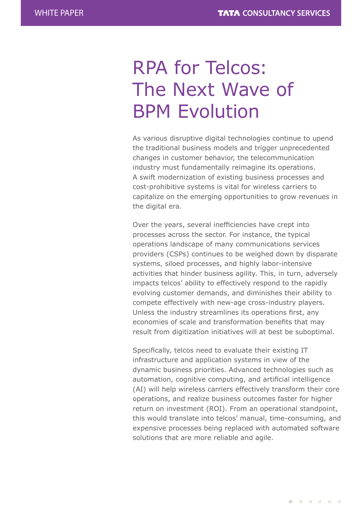# RPA for Telcos: The Next Wave of BPM Evolution

As various disruptive digital technologies continue to upend the traditional business models and trigger unprecedented changes in customer behavior, the telecommunication industry must fundamentally reimagine its operations. A swift modernization of existing business processes and cost-prohibitive systems is vital for wireless carriers to capitalize on the emerging opportunities to grow revenues in the digital era.

Over the years, several inefficiencies have crept into processes across the sector. For instance, the typical operations landscape of many communications services providers (CSPs) continues to be weighed down by disparate systems, siloed processes, and highly labor-intensive activities that hinder business agility. This, in turn, adversely impacts telcos' ability to effectively respond to the rapidly evolving customer demands, and diminishes their ability to compete effectively with new-age cross-industry players. Unless the industry streamlines its operations first, any economies of scale and transformation benefits that may result from digitization initiatives will at best be suboptimal.

Specifically, telcos need to evaluate their existing IT infrastructure and application systems in view of the dynamic business priorities. Advanced technologies such as automation, cognitive computing, and artificial intelligence (AI) will help wireless carriers effectively transform their core operations, and realize business outcomes faster for higher return on investment (ROI). From an operational standpoint, this would translate into telcos' manual, time-consuming, and expensive processes being replaced with automated software solutions that are more reliable and agile.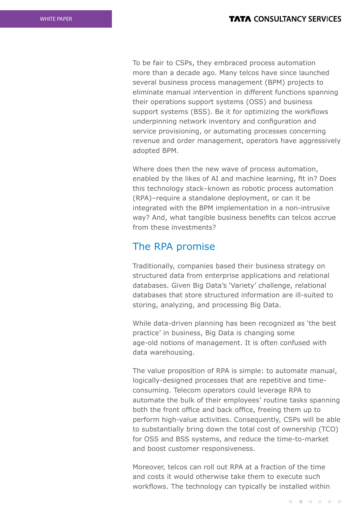To be fair to CSPs, they embraced process automation more than a decade ago. Many telcos have since launched several business process management (BPM) projects to eliminate manual intervention in different functions spanning their operations support systems (OSS) and business support systems (BSS). Be it for optimizing the workflows underpinning network inventory and configuration and service provisioning, or automating processes concerning revenue and order management, operators have aggressively adopted BPM.

Where does then the new wave of process automation, enabled by the likes of AI and machine learning, fit in? Does this technology stack–known as robotic process automation (RPA)–require a standalone deployment, or can it be integrated with the BPM implementation in a non-intrusive way? And, what tangible business benefits can telcos accrue from these investments?

### The RPA promise

Traditionally, companies based their business strategy on structured data from enterprise applications and relational databases. Given Big Data's 'Variety' challenge, relational databases that store structured information are ill-suited to storing, analyzing, and processing Big Data.

While data-driven planning has been recognized as 'the best practice' in business, Big Data is changing some age-old notions of management. It is often confused with data warehousing.

The value proposition of RPA is simple: to automate manual, logically-designed processes that are repetitive and timeconsuming. Telecom operators could leverage RPA to automate the bulk of their employees' routine tasks spanning both the front office and back office, freeing them up to perform high-value activities. Consequently, CSPs will be able to substantially bring down the total cost of ownership (TCO) for OSS and BSS systems, and reduce the time-to-market and boost customer responsiveness.

Moreover, telcos can roll out RPA at a fraction of the time and costs it would otherwise take them to execute such workflows. The technology can typically be installed within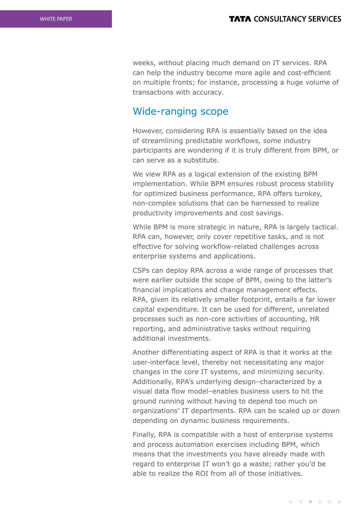weeks, without placing much demand on IT services. RPA can help the industry become more agile and cost-efficient on multiple fronts; for instance, processing a huge volume of transactions with accuracy.

### Wide-ranging scope

However, considering RPA is essentially based on the idea of streamlining predictable workflows, some industry participants are wondering if it is truly different from BPM, or can serve as a substitute.

We view RPA as a logical extension of the existing BPM implementation. While BPM ensures robust process stability for optimized business performance, RPA offers turnkey, non-complex solutions that can be harnessed to realize productivity improvements and cost savings.

While BPM is more strategic in nature, RPA is largely tactical. RPA can, however, only cover repetitive tasks, and is not effective for solving workflow-related challenges across enterprise systems and applications.

CSPs can deploy RPA across a wide range of processes that were earlier outside the scope of BPM, owing to the latter's financial implications and change management effects. RPA, given its relatively smaller footprint, entails a far lower capital expenditure. It can be used for different, unrelated processes such as non-core activities of accounting, HR reporting, and administrative tasks without requiring additional investments.

Another differentiating aspect of RPA is that it works at the user-interface level, thereby not necessitating any major changes in the core IT systems, and minimizing security. Additionally, RPA's underlying design–characterized by a visual data flow model–enables business users to hit the ground running without having to depend too much on organizations' IT departments. RPA can be scaled up or down depending on dynamic business requirements.

Finally, RPA is compatible with a host of enterprise systems and process automation exercises including BPM, which means that the investments you have already made with regard to enterprise IT won't go a waste; rather you'd be able to realize the ROI from all of those initiatives.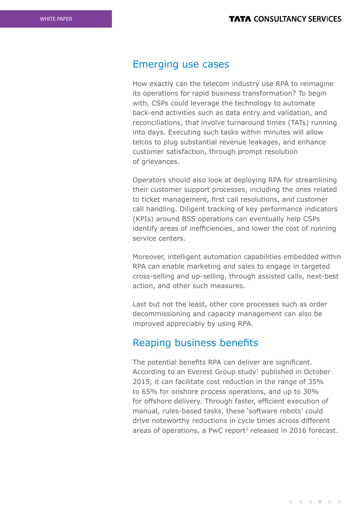#### Emerging use cases

How exactly can the telecom industry use RPA to reimagine its operations for rapid business transformation? To begin with, CSPs could leverage the technology to automate back-end activities such as data entry and validation, and reconciliations, that involve turnaround times (TATs) running into days. Executing such tasks within minutes will allow telcos to plug substantial revenue leakages, and enhance customer satisfaction, through prompt resolution of grievances.

Operators should also look at deploying RPA for streamlining their customer support processes, including the ones related to ticket management, first call resolutions, and customer call handling. Diligent tracking of key performance indicators (KPIs) around BSS operations can eventually help CSPs identify areas of inefficiencies, and lower the cost of running service centers.

Moreover, intelligent automation capabilities embedded within RPA can enable marketing and sales to engage in targeted cross-selling and up-selling, through assisted calls, next-best action, and other such measures.

Last but not the least, other core processes such as order decommissioning and capacity management can also be improved appreciably by using RPA.

### Reaping business benefits

The potential benefits RPA can deliver are significant. According to an Everest Group study<sup>1</sup> published in October 2015, it can facilitate cost reduction in the range of 35% to 65% for onshore process operations, and up to 30% for offshore delivery. Through faster, efficient execution of manual, rules-based tasks, these 'software robots' could drive noteworthy reductions in cycle times across different areas of operations, a PwC report<sup>2</sup> released in 2016 forecast.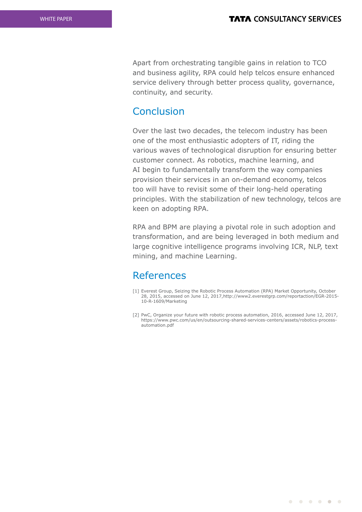Apart from orchestrating tangible gains in relation to TCO and business agility, RPA could help telcos ensure enhanced service delivery through better process quality, governance, continuity, and security.

### Conclusion

Over the last two decades, the telecom industry has been one of the most enthusiastic adopters of IT, riding the various waves of technological disruption for ensuring better customer connect. As robotics, machine learning, and AI begin to fundamentally transform the way companies provision their services in an on-demand economy, telcos too will have to revisit some of their long-held operating principles. With the stabilization of new technology, telcos are keen on adopting RPA.

RPA and BPM are playing a pivotal role in such adoption and transformation, and are being leveraged in both medium and large cognitive intelligence programs involving ICR, NLP, text mining, and machine Learning.

## References

- [1] Everest Group, Seizing the Robotic Process Automation (RPA) Market Opportunity, October 28, 2015, accessed on June 12, 2017,http://www2.everestgrp.com/reportaction/EGR-2015- 10-R-1609/Marketing
- [2] PwC, Organize your future with robotic process automation, 2016, accessed June 12, 2017, https://www.pwc.com/us/en/outsourcing-shared-services-centers/assets/robotics-processautomation.pdf

 $\begin{array}{cccccccccccccccccc} \bullet & \bullet & \bullet & \bullet & \bullet & \bullet & \bullet & \bullet & \bullet \end{array}$